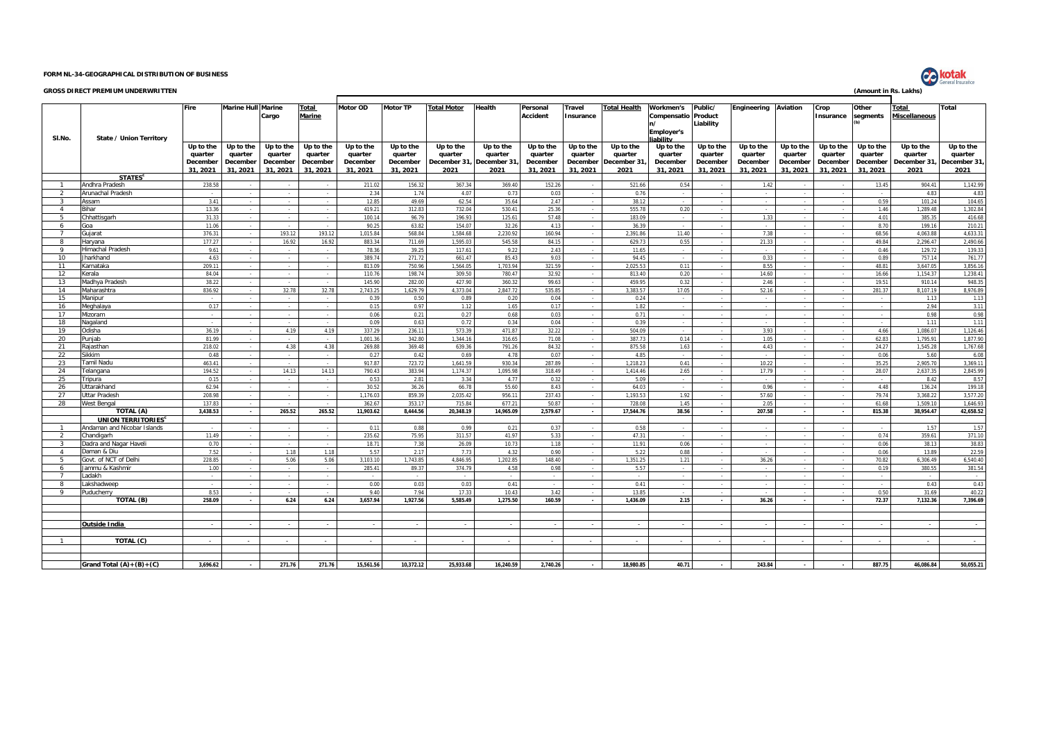## **FORM NL-34-GEOGRAPHICAL DISTRIBUTION OF BUSINESS**

## **GROSS DIRECT PREMIUM UNDERWRITTEN (Amount in Rs. Lakhs)**

|                |                                | Fire                | <b>Marine Hull Marine</b> |                     | Total               | Motor OD            | <b>Motor TP</b> | <b>Total Motor</b>               | <b>Health</b> | Personal        | Travel    | <b>Total Health</b> | Workmen's                  | Public/             | Engineering | Aviation            | Crop      | Other               | Total          | <b>Total</b>        |
|----------------|--------------------------------|---------------------|---------------------------|---------------------|---------------------|---------------------|-----------------|----------------------------------|---------------|-----------------|-----------|---------------------|----------------------------|---------------------|-------------|---------------------|-----------|---------------------|----------------|---------------------|
|                |                                |                     |                           | Cargo               | Marine              |                     |                 |                                  |               | <b>Accident</b> | Insurance |                     | <b>Compensatio Product</b> |                     |             |                     | Insurance | segments            | Miscellaneous  |                     |
|                |                                |                     |                           |                     |                     |                     |                 |                                  |               |                 |           |                     |                            | Liability           |             |                     |           |                     |                |                     |
|                |                                |                     |                           |                     |                     |                     |                 |                                  |               |                 |           |                     | <b>Employer's</b>          |                     |             |                     |           |                     |                |                     |
| SI.No.         | State / Union Territory        |                     |                           |                     |                     |                     |                 |                                  |               |                 |           |                     | iability                   |                     |             |                     |           |                     |                |                     |
|                |                                | Up to the           | Up to the                 | Up to the           | Up to the           | Up to the           | Up to the       | Up to the                        | Up to the     | Up to the       | Up to the | Up to the           | Up to the                  | Up to the           | Up to the   | Up to the           | Up to the | Up to the           | Up to the      | Up to the           |
|                |                                | quarter             | quarter                   | quarter             | quarter             | quarter             | quarter         | quarter                          | quarter       | quarter         | quarter   | quarter             | quarter                    | quarter             | quarter     | quarter             | quarter   | quarter             | quarter        | quarter             |
|                |                                | December<br>31.2021 | December<br>31.2021       | December<br>31.2021 | December<br>31.2021 | December<br>31.2021 | December        | December 31, December 31<br>2021 |               | December        | December  | December 31         | December<br>31.2021        | December<br>31.2021 | December    | December<br>31.2021 | December  | December<br>31.2021 | December 31,   | December 31<br>2021 |
|                | <b>STATES<sup>c</sup></b>      |                     |                           |                     |                     |                     | 31.2021         |                                  | 2021          | 31.2021         | 31.2021   | 2021                |                            |                     | 31.2021     |                     | 31.2021   |                     | 2021           |                     |
| $\overline{1}$ | Andhra Pradesh                 | 238.58              | $\sim$                    |                     |                     | 211.02              | 156.32          | 367.34                           | 369.40        | 152.26          | $\sim$    | 521.66              | 0.54                       |                     | 1.42        |                     | - 1       | 13.45               | 904.41         | 1,142.99            |
| $\overline{2}$ | Arunachal Pradesh              |                     | $\sim$                    |                     |                     | 2.34                | 1.74            | 4.07                             | 0.73          | 0.03            |           | 0.76                |                            |                     |             |                     |           |                     | 4.83           | 4.83                |
| $\mathbf{3}$   | Assam                          | 3.41                | $\sim$                    |                     |                     | 12.85               | 49.69           | 62.54                            | 35.64         | 2.47            |           | 38.12               |                            |                     |             |                     |           | 0.59                | 101.24         | 104.65              |
| $\overline{a}$ | Bihar                          | 13.36               | $\mathbf{r}$              |                     |                     | 419.21              | 312.83          | 732.04                           | 530.41        | 25.36           |           | 555.78              | 0.20                       |                     |             |                     |           | 1.46                | 1.289.48       | 1.302.84            |
| 5              | Chhattisgarh                   | 31.33               |                           |                     |                     | 100.14              | 96.79           | 196.93                           | 125.61        | 57.48           |           | 183.09              |                            |                     | 1.33        |                     |           | 4.01                | 385.3          | 416.68              |
| 6              | Goa                            | 11.06               |                           |                     |                     | 90.25               | 63.82           | 154.0                            | 32.26         | 4.13            |           | 36.39               |                            |                     |             |                     |           | 8.70                | 199.16         | 210.21              |
| $\overline{7}$ | Guiarat                        | 376.31              |                           | 193.12              | 193.12              | 1.015.84            | 568.84          | 1.584.68                         | 2.230.92      | 160.94          |           | 2.391.86            | 11.40                      |                     | 7.38        |                     |           | 68.56               | 4.063.88       | 4.633.31            |
| -8             | Harvana                        | 177.27              |                           | 16.92               | 16.92               | 883.34              | 711.69          | 1.595.03                         | 545.58        | 84.15           |           | 629.73              | 0.55                       |                     | 21.33       |                     |           | 49.84               | 2,296.47       | 2,490.66            |
| $\circ$        | Iimachal Pradesh               | 9.61                |                           |                     |                     | 78.36               | 39.25           | 117.61                           | 9.22          | 2.43            |           | 11.65               |                            |                     |             |                     |           | 0.46                | 129.72         | 139.33              |
| 10             | Jharkhand                      | 4.63                |                           |                     |                     | 389.74              | 271.72          | 661.47                           | 85.43         | 9.03            |           | 94.45               |                            |                     | 0.33        |                     |           | 0.89                | 757.14         | 761.77              |
| 11             | Karnataka                      | 209.11              |                           |                     |                     | 813.09              | 750.96          | 1,564.05                         | 1,703.94      | 321.59          |           | 2.025.53            | 0.11                       |                     | 8.55        |                     |           | 48.81               | 3.647.05       | 3,856.16            |
| 12             | (erala                         | 84.04               |                           |                     |                     | 110.76              | 198.74          | 309.50                           | 780.47        | 32.92           |           | 813.40              | 0.20                       |                     | 14.60       |                     |           | 16.66               | 1.154.37       | 1.238.41            |
| 13             | Madhya Pradesh                 | 38.22               |                           |                     |                     | 145.90              | 282.00          | 427.90                           | 360.32        | 99.63           |           | 459.95              | 0.32                       |                     | 2.46        |                     |           | 19.51               | 910.14         | 948.35              |
| 14             | Maharashtra                    | 836.92              |                           | 32.78               | 32.78               | 2.743.25            | 1.629.79        | 4.373.04                         | 2.847.72      | 535.85          |           | 3.383.57            | 17.05                      |                     | 52.16       |                     |           | 281.37              | 8.107.19       | 8.976.89            |
| 15             | Manipur                        |                     |                           |                     |                     | 0.39                | 0.50            | 0.89                             | 0.20          | 0.04            |           | 0.24                |                            |                     |             |                     |           |                     | 1.13           | 1.13                |
| 16             | Meghalaya                      | 0.17                |                           |                     |                     | 0.15                | 0.97            | 1.12                             | 1.65          | 0.17            |           | 1.82                |                            |                     |             |                     |           |                     | 2.94           | 3.11                |
| 17             | Mizoram                        |                     |                           |                     |                     | 0.06                | 0.21            | 0.27                             | 0.68          | 0.03            |           | 0.71                |                            |                     |             |                     |           |                     | 0.98           | 0.98                |
| 18             | Nagaland                       |                     |                           |                     |                     | 0.09                | 0.63            | 0.72                             | 0.34          | 0.04            |           | 0.39                |                            |                     |             |                     |           |                     | 1.11           | 1.11                |
| 19             | Odisha                         | 36.19               |                           | 4.19                | 4.19                | 337.29              | 236.11          | 573.39                           | 471.87        | 32.22           |           | 504.09              |                            |                     | 3.93        |                     |           | 4.66                | 1.086.07       | 1.126.46            |
| 20             | Puniab                         | 81.99               |                           |                     |                     | 1,001.36            | 342.80          | 1.344.1                          | 316.65        | 71.08           |           | 387.73              | 0.14                       |                     | 1.05        |                     |           | 62.83               | 1,795.91       | 1,877.90            |
| 21             | Rajasthan                      | 218.02              |                           | 4.38                | 4.38                | 269.88              | 369.48          | 639.36                           | 791.26        | 84.32           |           | 875.58              | 1.63                       |                     | 4.43        |                     |           | 24.27               | 1,545.28       | 1,767.68            |
| 22             | Sikkim                         | 0.48                |                           |                     |                     | 0.27                | 0.42            | 0.69                             | 4.78          | 0.07            |           | 4.85                |                            |                     |             |                     |           | 0.06                | 5.60           | 6.08                |
| 23             | <b>Tamil Nadu</b>              | 463.41              |                           |                     |                     | 917.87              | 723.72          | 1.641.59                         | 930.34        | 287.89          |           | 1.218.23            | 0.41                       |                     | 10.22       |                     |           | 35.25               | 2.905.70       | 3.369.11            |
| 24             | elangana                       | 194.52              | $\sim$                    | 14.13<br>$\sim$     | 14.13<br>$\sim$     | 790.43              | 383.94          | 1.174.37                         | 1,095.98      | 318.49          |           | 1.414.46            | 2.65                       |                     | 17.79       | $\sim$              | $\sim$    | 28.07<br>$\sim$     | 2.637.35       | 2.845.99            |
| 25<br>26       | ripura<br><b>Jttarakhand</b>   | 0.15<br>62.94       |                           |                     |                     | 0.53<br>30.52       | 2.81<br>36.26   | 3.34<br>66.78                    | 4.77<br>55.60 | 0.32<br>8.43    |           | 5.09<br>64.03       |                            |                     | 0.96        |                     |           | 4.48                | 8.42<br>136.24 | 8.57<br>199.18      |
| 27             | Uttar Pradesh                  | 208.98              |                           |                     |                     | 1,176.03            | 859.39          | 2,035.42                         | 956.11        | 237.43          |           | 1.193.53            | 1.92                       |                     | 57.60       |                     |           | 79.74               | 3,368.22       | 3,577.20            |
| 28             | West Bengal                    | 137.83              |                           |                     |                     | 362.67              | 353.17          | 715.84                           | 677.21        | 50.87           |           | 728.08              | 1.45                       |                     | 2.05        |                     |           | 61.68               | 1.509.10       | 1.646.93            |
|                | TOTAL (A)                      | 3,438.53            |                           | 265.52              | 265.52              | 11,903.62           | 8,444.56        | 20,348.19                        | 14,965.09     | 2,579.67        |           | 17,544.76           | 38.56                      |                     | 207.58      |                     |           | 815.38              | 38,954.47      | 42,658.52           |
|                | UNION TERRITORIES <sup>c</sup> |                     |                           |                     |                     |                     |                 |                                  |               |                 |           |                     |                            |                     |             |                     |           |                     |                |                     |
| $\overline{1}$ | Andaman and Nicobar Islands    |                     |                           |                     |                     | 0.11                | 0.88            | 0.99                             | 0.21          | 0.37            |           | 0.58                |                            |                     |             |                     |           |                     | 1.57           | 1.57                |
| 2              | Chandigarh                     | 11.49               |                           |                     | $\sim$              | 235.62              | 75.95           | 311.57                           | 41.97         | 5.33            |           | 47.31               |                            |                     |             |                     |           | 0.74                | 359.61         | 371.10              |
| $\mathbf{z}$   | Dadra and Nagar Haveli         | 0.70                |                           |                     |                     | 18.71               | 7.38            | 26.09                            | 10.73         | 1.18            |           | 11.91               | 0.06                       |                     |             |                     |           | 0.06                | 38.13          | 38.83               |
| $\overline{4}$ | Daman & Diu                    | 7.52                |                           | 1.18                | 1.18                | 5.57                | 2.17            | 7.7                              | 4.32          | 0.90            |           | 5.22                | 0.88                       |                     |             |                     |           | 0.06                | 13.89          | 22.59               |
| -5             | Govt, of NCT of Delhi          | 228.85              |                           | 5.06                | 5.06                | 3.103.10            | 1.743.85        | 4.846.95                         | 1.202.85      | 148.40          |           | 1.351.25            | 1.21                       |                     | 36.26       |                     |           | 70.82               | 6.306.49       | 6.540.40            |
| 6              | ammu & Kashmir                 | 1.00                |                           |                     |                     | 285.41              | 89.37           | 374.79                           | 4.58          | 0.98            |           | 5.57                |                            |                     |             |                     |           | 0.19                | 380.55         | 381.54              |
| $\overline{7}$ | adakh                          |                     |                           |                     |                     |                     |                 |                                  |               |                 |           |                     |                            |                     |             |                     |           |                     |                |                     |
| 8              | akshadweep                     |                     |                           |                     |                     | 0.00                | 0.03            | 0.03                             | 0.41          |                 |           | 0.41                |                            |                     |             |                     |           |                     | 0.43           | 0.43                |
| 9              | Puducherry                     | 8.53                |                           |                     |                     | 9.40                | 7.94            | 17.33                            | 10.43         | 3.42            |           | 13.85               |                            |                     |             |                     |           | 0.50                | 31.69          | 40.22               |
|                | TOTAL (B)                      | 258.09              |                           | 6.24                | 6.24                | 3.657.94            | 1.927.56        | 5.585.49                         | 1.275.50      | 160.59          |           | 1.436.09            | 2.15                       |                     | 36.26       |                     |           | 72.37               | 7.132.36       | 7.396.69            |
|                |                                |                     |                           |                     |                     |                     |                 |                                  |               |                 |           |                     |                            |                     |             |                     |           |                     |                |                     |
|                |                                |                     |                           |                     |                     |                     |                 |                                  |               |                 |           |                     |                            |                     |             |                     |           |                     |                |                     |
|                | <b>Outside India</b>           |                     |                           |                     |                     |                     |                 |                                  |               |                 |           |                     |                            |                     |             |                     |           |                     |                |                     |
|                |                                |                     |                           |                     |                     |                     |                 |                                  |               |                 |           |                     |                            |                     |             |                     |           |                     |                |                     |
| $\mathbf{1}$   | TOTAL (C)                      |                     |                           |                     |                     |                     |                 |                                  |               |                 |           |                     |                            |                     |             |                     |           |                     |                |                     |
|                |                                |                     |                           |                     |                     |                     |                 |                                  |               |                 |           |                     |                            |                     |             |                     |           |                     |                |                     |
|                | Grand Total $(A)+(B)+(C)$      | 3,696.62            |                           | 271.76              | 271.76              | 15,561.56           | 10,372.12       | 25,933.68                        | 16,240.59     | 2,740.26        |           | 18.980.85           | 40.71                      |                     | 243.84      |                     |           | 887.75              | 46.086.84      | 50,055.21           |
|                |                                |                     |                           |                     |                     |                     |                 |                                  |               |                 |           |                     |                            |                     |             |                     |           |                     |                |                     |